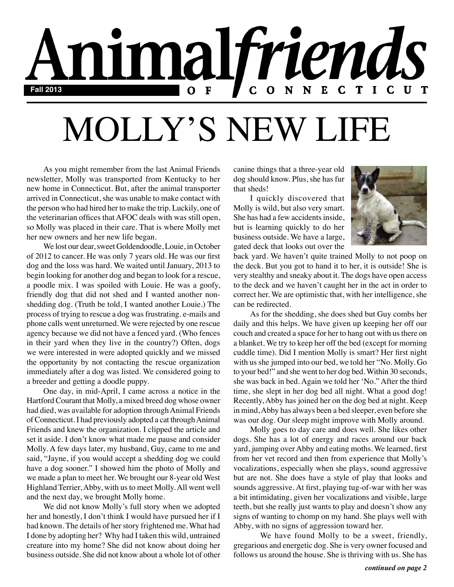#### nimalfriends  $N E$  $\mathbf C$ **Fall 2013** N  $\mathbf C$ O Т

# MOLLY'S NEW LIFE

As you might remember from the last Animal Friends newsletter, Molly was transported from Kentucky to her new home in Connecticut. But, after the animal transporter arrived in Connecticut, she was unable to make contact with the person who had hired her to make the trip. Luckily, one of the veterinarian offices that AFOC deals with was still open, so Molly was placed in their care. That is where Molly met her new owners and her new life began.

We lost our dear, sweet Goldendoodle, Louie, in October of 2012 to cancer. He was only 7 years old. He was our first dog and the loss was hard. We waited until January, 2013 to begin looking for another dog and began to look for a rescue, a poodle mix. I was spoiled with Louie. He was a goofy, friendly dog that did not shed and I wanted another nonshedding dog. (Truth be told, I wanted another Louie.) The process of trying to rescue a dog was frustrating. e-mails and phone calls went unreturned. We were rejected by one rescue agency because we did not have a fenced yard. (Who fences in their yard when they live in the country?) Often, dogs we were interested in were adopted quickly and we missed the opportunity by not contacting the rescue organization immediately after a dog was listed. We considered going to a breeder and getting a doodle puppy.

One day, in mid-April, I came across a notice in the Hartford Courant that Molly, a mixed breed dog whose owner had died, was available for adoption through Animal Friends of Connecticut. I had previously adopted a cat through Animal Friends and knew the organization. I clipped the article and set it aside. I don't know what made me pause and consider Molly. A few days later, my husband, Guy, came to me and said, "Jayne, if you would accept a shedding dog we could have a dog sooner." I showed him the photo of Molly and we made a plan to meet her. We brought our 8-year old West Highland Terrier, Abby, with us to meet Molly. All went well and the next day, we brought Molly home.

We did not know Molly's full story when we adopted her and honestly, I don't think I would have pursued her if I had known. The details of her story frightened me. What had I done by adopting her? Why had I taken this wild, untrained creature into my home? She did not know about doing her business outside. She did not know about a whole lot of other canine things that a three-year old dog should know. Plus, she has fur that sheds!

I quickly discovered that Molly is wild, but also very smart. She has had a few accidents inside, but is learning quickly to do her business outside. We have a large, gated deck that looks out over the



back yard. We haven't quite trained Molly to not poop on the deck. But you got to hand it to her, it is outside! She is very stealthy and sneaky about it. The dogs have open access to the deck and we haven't caught her in the act in order to correct her. We are optimistic that, with her intelligence, she can be redirected.

As for the shedding, she does shed but Guy combs her daily and this helps. We have given up keeping her off our couch and created a space for her to hang out with us there on a blanket. We try to keep her off the bed (except for morning cuddle time). Did I mention Molly is smart? Her first night with us she jumped into our bed, we told her "No. Molly. Go to your bed!" and she went to her dog bed. Within 30 seconds, she was back in bed. Again we told her 'No." After the third time, she slept in her dog bed all night. What a good dog! Recently, Abby has joined her on the dog bed at night. Keep in mind, Abby has always been a bed sleeper, even before she was our dog. Our sleep might improve with Molly around.

Molly goes to day care and does well. She likes other dogs. She has a lot of energy and races around our back yard, jumping over Abby and eating moths. We learned, first from her vet record and then from experience that Molly's vocalizations, especially when she plays, sound aggressive but are not. She does have a style of play that looks and sounds aggressive. At first, playing tug-of-war with her was a bit intimidating, given her vocalizations and visible, large teeth, but she really just wants to play and doesn't show any signs of wanting to chomp on my hand. She plays well with Abby, with no signs of aggression toward her.

We have found Molly to be a sweet, friendly, gregarious and energetic dog. She is very owner focused and follows us around the house. She is thriving with us. She has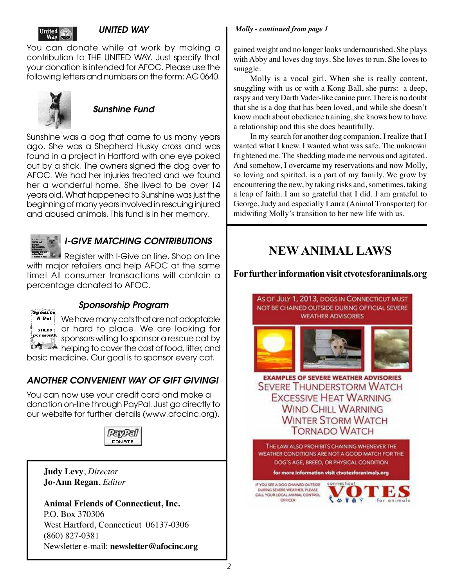

#### *UNITED WAY*

You can donate while at work by making a contribution to THE UNITED WAY. Just specify that your donation is intended for AFOC. Please use the following letters and numbers on the form: AG 0640.



#### *Sunshine Fund*

Sunshine was a dog that came to us many years ago. She was a Shepherd Husky cross and was found in a project in Hartford with one eye poked out by a stick. The owners signed the dog over to AFOC. We had her injuries treated and we found her a wonderful home. She lived to be over 14 years old. What happened to Sunshine was just the beginning of many years involved in rescuing injured and abused animals. This fund is in her memory.



#### *I-GIVE MATCHING CONTRIBUTIONS*

Register with I-Give on line. Shop on line with major retailers and help AFOC at the same time! All consumer transactions will contain a percentage donated to AFOC.



#### *Sponsorship Program*

We have many cats that are not adoptable or hard to place. We are looking for sponsors willing to sponsor a rescue cat by helping to cover the cost of food, litter, and

basic medicine. Our goal is to sponsor every cat.

#### *ANOTHER CONVENIENT WAY OF GIFT GIVING!*

You can now use your credit card and make a donation on-line through PayPal. Just go directly to our website for further details (www.afocinc.org).



#### **Judy Levy**, *Director* **Jo-Ann Regan**, *Editor*

**Animal Friends of Connecticut, Inc.** P.O. Box 370306 West Hartford, Connecticut 06137-0306 (860) 827-0381 Newsletter e-mail: **newsletter@afocinc.org**

#### *Molly - continued from page 1*

gained weight and no longer looks undernourished. She plays with Abby and loves dog toys. She loves to run. She loves to snuggle.

Molly is a vocal girl. When she is really content, snuggling with us or with a Kong Ball, she purrs: a deep, raspy and very Darth Vader-like canine purr. There is no doubt that she is a dog that has been loved, and while she doesn't know much about obedience training, she knows how to have a relationship and this she does beautifully.

In my search for another dog companion, I realize that I wanted what I knew. I wanted what was safe. The unknown frightened me. The shedding made me nervous and agitated. And somehow, I overcame my reservations and now Molly, so loving and spirited, is a part of my family. We grow by encountering the new, by taking risks and, sometimes, taking a leap of faith. I am so grateful that I did. I am grateful to George, Judy and especially Laura (Animal Transporter) for midwifing Molly's transition to her new life with us.

# **NEW ANIMAL LAWS**

#### **For further information visit ctvotesforanimals.org**

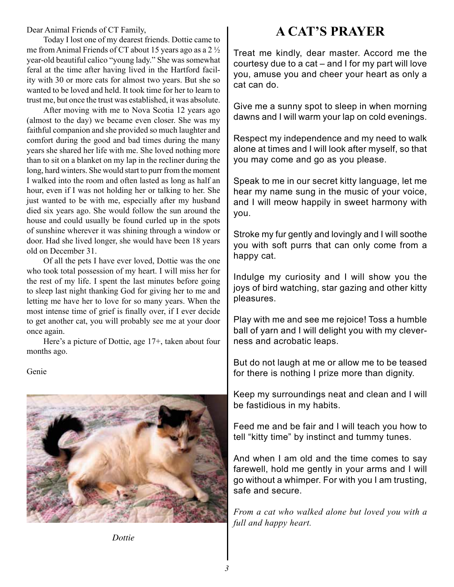Dear Animal Friends of CT Family,

Today I lost one of my dearest friends. Dottie came to me from Animal Friends of CT about 15 years ago as a 2 ½ year-old beautiful calico "young lady." She was somewhat feral at the time after having lived in the Hartford facility with 30 or more cats for almost two years. But she so wanted to be loved and held. It took time for her to learn to trust me, but once the trust was established, it was absolute.

After moving with me to Nova Scotia 12 years ago (almost to the day) we became even closer. She was my faithful companion and she provided so much laughter and comfort during the good and bad times during the many years she shared her life with me. She loved nothing more than to sit on a blanket on my lap in the recliner during the long, hard winters. She would start to purr from the moment I walked into the room and often lasted as long as half an hour, even if I was not holding her or talking to her. She just wanted to be with me, especially after my husband died six years ago. She would follow the sun around the house and could usually be found curled up in the spots of sunshine wherever it was shining through a window or door. Had she lived longer, she would have been 18 years old on December 31.

Of all the pets I have ever loved, Dottie was the one who took total possession of my heart. I will miss her for the rest of my life. I spent the last minutes before going to sleep last night thanking God for giving her to me and letting me have her to love for so many years. When the most intense time of grief is finally over, if I ever decide to get another cat, you will probably see me at your door once again.

Here's a picture of Dottie, age 17+, taken about four months ago.

Genie



*Dottie*

# **A CAT'S PRAYER**

Treat me kindly, dear master. Accord me the courtesy due to a cat – and I for my part will love you, amuse you and cheer your heart as only a cat can do.

Give me a sunny spot to sleep in when morning dawns and I will warm your lap on cold evenings.

Respect my independence and my need to walk alone at times and I will look after myself, so that you may come and go as you please.

Speak to me in our secret kitty language, let me hear my name sung in the music of your voice, and I will meow happily in sweet harmony with you.

Stroke my fur gently and lovingly and I will soothe you with soft purrs that can only come from a happy cat.

Indulge my curiosity and I will show you the joys of bird watching, star gazing and other kitty pleasures.

Play with me and see me rejoice! Toss a humble ball of yarn and I will delight you with my cleverness and acrobatic leaps.

But do not laugh at me or allow me to be teased for there is nothing I prize more than dignity.

Keep my surroundings neat and clean and I will be fastidious in my habits.

Feed me and be fair and I will teach you how to tell "kitty time" by instinct and tummy tunes.

And when I am old and the time comes to say farewell, hold me gently in your arms and I will go without a whimper. For with you I am trusting, safe and secure.

*From a cat who walked alone but loved you with a full and happy heart.*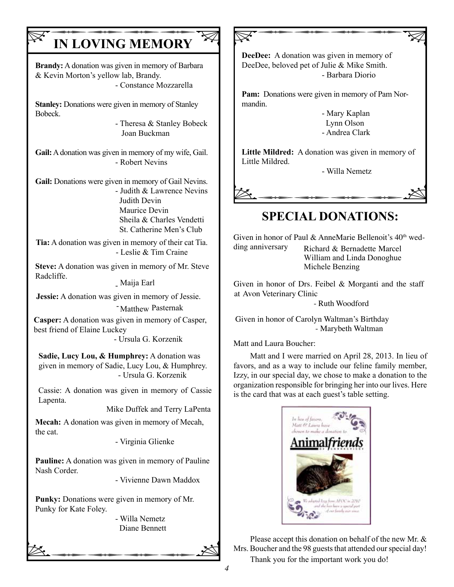# **IN LOVING MEMORY**

**Brandy:** A donation was given in memory of Barbara & Kevin Morton's yellow lab, Brandy. - Constance Mozzarella

**Stanley:** Donations were given in memory of Stanley Bobeck.

 - Theresa & Stanley Bobeck Joan Buckman

**Gail:** A donation was given in memory of my wife, Gail. - Robert Nevins

Gail: Donations were given in memory of Gail Nevins. - Judith & Lawrence Nevins Judith Devin Maurice Devin Sheila & Charles Vendetti St. Catherine Men's Club

**Tia:** A donation was given in memory of their cat Tia. - Leslie & Tim Craine

**Steve:** A donation was given in memory of Mr. Steve Radcliffe.

- Maija Earl

**Jessie:** A donation was given in memory of Jessie.

- Matthew Pasternak

**Casper:** A donation was given in memory of Casper, best friend of Elaine Luckey

- Ursula G. Korzenik

**Sadie, Lucy Lou, & Humphrey:** A donation was given in memory of Sadie, Lucy Lou, & Humphrey. - Ursula G. Korzenik

Cassie: A donation was given in memory of Cassie Lapenta.

Mike Duffek and Terry LaPenta

**Mecah:** A donation was given in memory of Mecah, the cat.

- Virginia Glienke

**Pauline:** A donation was given in memory of Pauline Nash Corder.

- Vivienne Dawn Maddox

**Punky:** Donations were given in memory of Mr. Punky for Kate Foley.

Diane Bennett - Willa Nemetz Diane Bennett

**DeeDee:** A donation was given in memory of DeeDee, beloved pet of Julie & Mike Smith. - Barbara Diorio

**Pam:** Donations were given in memory of Pam Normandin.

 $\nabla$ 

 - Mary Kaplan Lynn Olson - Andrea Clark

**Little Mildred:** A donation was given in memory of Little Mildred.

- Willa Nemetz



# **SPECIAL DONATIONS:**

Given in honor of Paul & AnneMarie Bellenoit's  $40<sup>th</sup>$  wedding anniversary Richard & Bernadette Marcel William and Linda Donoghue Michele Benzing

Given in honor of Drs. Feibel & Morganti and the staff at Avon Veterinary Clinic

- Ruth Woodford

Given in honor of Carolyn Waltman's Birthday - Marybeth Waltman

Matt and Laura Boucher:

Matt and I were married on April 28, 2013. In lieu of favors, and as a way to include our feline family member, Izzy, in our special day, we chose to make a donation to the organization responsible for bringing her into our lives. Here is the card that was at each guest's table setting.



Please accept this donation on behalf of the new Mr. & Mrs. Boucher and the 98 guests that attended our special day! Thank you for the important work you do!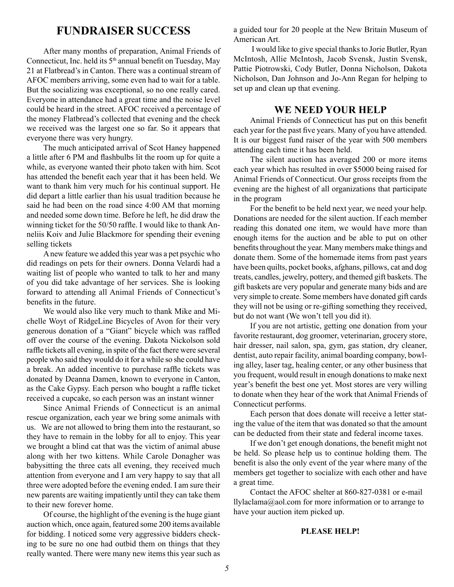#### **FUNDRAISER SUCCESS**

After many months of preparation, Animal Friends of Connecticut, Inc. held its 5<sup>th</sup> annual benefit on Tuesday, May 21 at Flatbread's in Canton. There was a continual stream of AFOC members arriving, some even had to wait for a table. But the socializing was exceptional, so no one really cared. Everyone in attendance had a great time and the noise level could be heard in the street. AFOC received a percentage of the money Flatbread's collected that evening and the check we received was the largest one so far. So it appears that everyone there was very hungry.

The much anticipated arrival of Scot Haney happened a little after 6 PM and flashbulbs lit the room up for quite a while, as everyone wanted their photo taken with him. Scot has attended the benefit each year that it has been held. We want to thank him very much for his continual support. He did depart a little earlier than his usual tradition because he said he had been on the road since 4:00 AM that morning and needed some down time. Before he left, he did draw the winning ticket for the 50/50 raffle. I would like to thank Anneliis Koiv and Julie Blackmore for spending their evening selling tickets

A new feature we added this year was a pet psychic who did readings on pets for their owners. Donna Velardi had a waiting list of people who wanted to talk to her and many of you did take advantage of her services. She is looking forward to attending all Animal Friends of Connecticut's benefits in the future.

We would also like very much to thank Mike and Michelle Woyt of RidgeLine Bicycles of Avon for their very generous donation of a "Giant" bicycle which was raffled off over the course of the evening. Dakota Nickolson sold raffle tickets all evening, in spite of the fact there were several people who said they would do it for a while so she could have a break. An added incentive to purchase raffle tickets was donated by Deanna Damen, known to everyone in Canton, as the Cake Gypsy. Each person who bought a raffle ticket received a cupcake, so each person was an instant winner

Since Animal Friends of Connecticut is an animal rescue organization, each year we bring some animals with us. We are not allowed to bring them into the restaurant, so they have to remain in the lobby for all to enjoy. This year we brought a blind cat that was the victim of animal abuse along with her two kittens. While Carole Donagher was babysitting the three cats all evening, they received much attention from everyone and I am very happy to say that all three were adopted before the evening ended. I am sure their new parents are waiting impatiently until they can take them to their new forever home.

Of course, the highlight of the evening is the huge giant auction which, once again, featured some 200 items available for bidding. I noticed some very aggressive bidders checking to be sure no one had outbid them on things that they really wanted. There were many new items this year such as

a guided tour for 20 people at the New Britain Museum of American Art.

 I would like to give special thanks to Jorie Butler, Ryan McIntosh, Allie McIntosh, Jacob Svensk, Justin Svensk, Pattie Piotrowski, Cody Butler, Donna Nicholson, Dakota Nicholson, Dan Johnson and Jo-Ann Regan for helping to set up and clean up that evening.

#### **WE NEED YOUR HELP**

Animal Friends of Connecticut has put on this benefit each year for the past five years. Many of you have attended. It is our biggest fund raiser of the year with 500 members attending each time it has been held.

The silent auction has averaged 200 or more items each year which has resulted in over \$5000 being raised for Animal Friends of Connecticut. Our gross receipts from the evening are the highest of all organizations that participate in the program

For the benefit to be held next year, we need your help. Donations are needed for the silent auction. If each member reading this donated one item, we would have more than enough items for the auction and be able to put on other benefits throughout the year. Many members make things and donate them. Some of the homemade items from past years have been quilts, pocket books, afghans, pillows, cat and dog treats, candles, jewelry, pottery, and themed gift baskets. The gift baskets are very popular and generate many bids and are very simple to create. Some members have donated gift cards they will not be using or re-gifting something they received, but do not want (We won't tell you did it).

If you are not artistic, getting one donation from your favorite restaurant, dog groomer, veterinarian, grocery store, hair dresser, nail salon, spa, gym, gas station, dry cleaner, dentist, auto repair facility, animal boarding company, bowling alley, laser tag, healing center, or any other business that you frequent, would result in enough donations to make next year's benefit the best one yet. Most stores are very willing to donate when they hear of the work that Animal Friends of Connecticut performs.

Each person that does donate will receive a letter stating the value of the item that was donated so that the amount can be deducted from their state and federal income taxes.

If we don't get enough donations, the benefit might not be held. So please help us to continue holding them. The benefit is also the only event of the year where many of the members get together to socialize with each other and have a great time.

Contact the AFOC shelter at 860-827-0381 or e-mail llylaclama@aol.com for more information or to arrange to have your auction item picked up.

#### **PLEASE HELP!**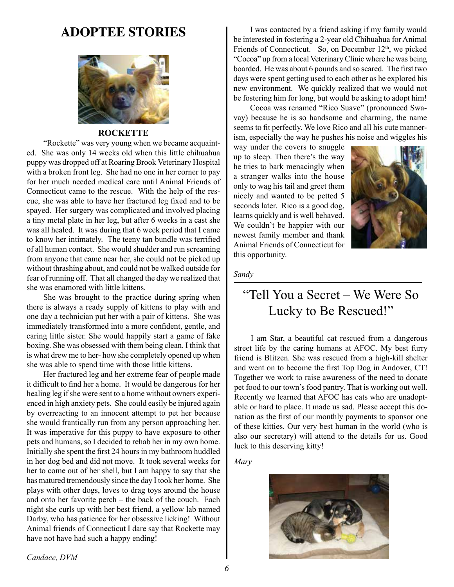# **ADOPTEE STORIES**



#### **ROCKETTE**

"Rockette" was very young when we became acquainted. She was only 14 weeks old when this little chihuahua puppy was dropped off at Roaring Brook Veterinary Hospital with a broken front leg. She had no one in her corner to pay for her much needed medical care until Animal Friends of Connecticut came to the rescue. With the help of the rescue, she was able to have her fractured leg fixed and to be spayed. Her surgery was complicated and involved placing a tiny metal plate in her leg, but after 6 weeks in a cast she was all healed. It was during that 6 week period that I came to know her intimately. The teeny tan bundle was terrified of all human contact. She would shudder and run screaming from anyone that came near her, she could not be picked up without thrashing about, and could not be walked outside for fear of running off. That all changed the day we realized that she was enamored with little kittens.

She was brought to the practice during spring when there is always a ready supply of kittens to play with and one day a technician put her with a pair of kittens. She was immediately transformed into a more confident, gentle, and caring little sister. She would happily start a game of fake boxing. She was obsessed with them being clean. I think that is what drew me to her- how she completely opened up when she was able to spend time with those little kittens.

Her fractured leg and her extreme fear of people made it difficult to find her a home. It would be dangerous for her healing leg if she were sent to a home without owners experienced in high anxiety pets. She could easily be injured again by overreacting to an innocent attempt to pet her because she would frantically run from any person approaching her. It was imperative for this puppy to have exposure to other pets and humans, so I decided to rehab her in my own home. Initially she spent the first 24 hours in my bathroom huddled in her dog bed and did not move. It took several weeks for her to come out of her shell, but I am happy to say that she has matured tremendously since the day I took her home. She plays with other dogs, loves to drag toys around the house and onto her favorite perch – the back of the couch. Each night she curls up with her best friend, a yellow lab named Darby, who has patience for her obsessive licking! Without Animal friends of Connecticut I dare say that Rockette may have not have had such a happy ending!

I was contacted by a friend asking if my family would be interested in fostering a 2-year old Chihuahua for Animal Friends of Connecticut. So, on December  $12<sup>th</sup>$ , we picked "Cocoa" up from a local Veterinary Clinic where he was being boarded. He was about 6 pounds and so scared. The first two days were spent getting used to each other as he explored his new environment. We quickly realized that we would not be fostering him for long, but would be asking to adopt him!

Cocoa was renamed "Rico Suave" (pronounced Swavay) because he is so handsome and charming, the name seems to fit perfectly. We love Rico and all his cute mannerism, especially the way he pushes his noise and wiggles his

way under the covers to snuggle up to sleep. Then there's the way he tries to bark menacingly when a stranger walks into the house only to wag his tail and greet them nicely and wanted to be petted 5 seconds later. Rico is a good dog, learns quickly and is well behaved. We couldn't be happier with our newest family member and thank Animal Friends of Connecticut for this opportunity.



#### *Sandy*

# "Tell You a Secret – We Were So Lucky to Be Rescued!"

I am Star, a beautiful cat rescued from a dangerous street life by the caring humans at AFOC. My best furry friend is Blitzen. She was rescued from a high-kill shelter and went on to become the first Top Dog in Andover, CT! Together we work to raise awareness of the need to donate pet food to our town's food pantry. That is working out well. Recently we learned that AFOC has cats who are unadoptable or hard to place. It made us sad. Please accept this donation as the first of our monthly payments to sponsor one of these kitties. Our very best human in the world (who is also our secretary) will attend to the details for us. Good luck to this deserving kitty!

*Mary*

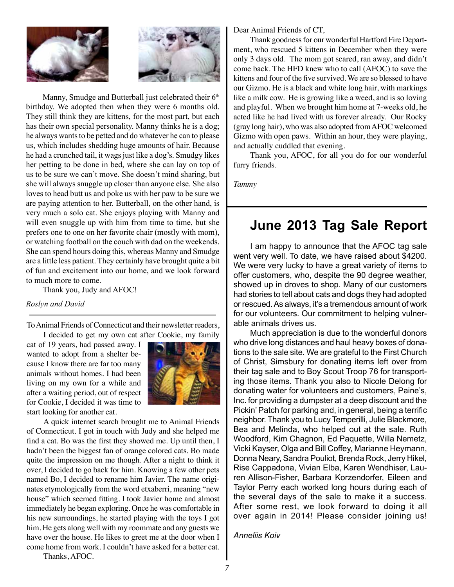



Manny, Smudge and Butterball just celebrated their 6<sup>th</sup> birthday. We adopted then when they were 6 months old. They still think they are kittens, for the most part, but each has their own special personality. Manny thinks he is a dog; he always wants to be petted and do whatever he can to please us, which includes shedding huge amounts of hair. Because he had a crunched tail, it wags just like a dog's. Smudgy likes her petting to be done in bed, where she can lay on top of us to be sure we can't move. She doesn't mind sharing, but she will always snuggle up closer than anyone else. She also loves to head butt us and poke us with her paw to be sure we are paying attention to her. Butterball, on the other hand, is very much a solo cat. She enjoys playing with Manny and will even snuggle up with him from time to time, but she prefers one to one on her favorite chair (mostly with mom), or watching football on the couch with dad on the weekends. She can spend hours doing this, whereas Manny and Smudge are a little less patient. They certainly have brought quite a bit of fun and excitement into our home, and we look forward to much more to come.

Thank you, Judy and AFOC!

#### *Roslyn and David*

To Animal Friends of Connecticut and their newsletter readers, I decided to get my own cat after Cookie, my family

cat of 19 years, had passed away. I wanted to adopt from a shelter because I know there are far too many animals without homes. I had been living on my own for a while and after a waiting period, out of respect for Cookie, I decided it was time to start looking for another cat.



A quick internet search brought me to Animal Friends of Connecticut. I got in touch with Judy and she helped me find a cat. Bo was the first they showed me. Up until then, I hadn't been the biggest fan of orange colored cats. Bo made quite the impression on me though. After a night to think it over, I decided to go back for him. Knowing a few other pets named Bo, I decided to rename him Javier. The name originates etymologically from the word etxaberri, meaning "new house" which seemed fitting. I took Javier home and almost immediately he began exploring. Once he was comfortable in his new surroundings, he started playing with the toys I got him. He gets along well with my roommate and any guests we have over the house. He likes to greet me at the door when I come home from work. I couldn't have asked for a better cat. Dear Animal Friends of CT,

Thank goodness for our wonderful Hartford Fire Department, who rescued 5 kittens in December when they were only 3 days old. The mom got scared, ran away, and didn't come back. The HFD knew who to call (AFOC) to save the kittens and four of the five survived. We are so blessed to have our Gizmo. He is a black and white long hair, with markings like a milk cow. He is growing like a weed, and is so loving and playful. When we brought him home at 7-weeks old, he acted like he had lived with us forever already. Our Rocky (gray long hair), who was also adopted from AFOC welcomed Gizmo with open paws. Within an hour, they were playing, and actually cuddled that evening.

Thank you, AFOC, for all you do for our wonderful furry friends.

*Tammy*

# **June 2013 Tag Sale Report**

 I am happy to announce that the AFOC tag sale went very well. To date, we have raised about \$4200. We were very lucky to have a great variety of items to offer customers, who, despite the 90 degree weather, showed up in droves to shop. Many of our customers had stories to tell about cats and dogs they had adopted or rescued. As always, it's a tremendous amount of work for our volunteers. Our commitment to helping vulnerable animals drives us.

Much appreciation is due to the wonderful donors who drive long distances and haul heavy boxes of donations to the sale site. We are grateful to the First Church of Christ, Simsbury for donating items left over from their tag sale and to Boy Scout Troop 76 for transporting those items. Thank you also to Nicole Delong for donating water for volunteers and customers, Paine's, Inc. for providing a dumpster at a deep discount and the Pickin' Patch for parking and, in general, being a terrific neighbor. Thank you to Lucy Temperilli, Julie Blackmore, Bea and Melinda, who helped out at the sale. Ruth Woodford, Kim Chagnon, Ed Paquette, Willa Nemetz, Vicki Kayser, Olga and Bill Coffey, Marianne Heymann, Donna Neary, Sandra Pouliot, Brenda Rock, Jerry Hikel, Rise Cappadona, Vivian Elba, Karen Wendhiser, Lauren Allison-Fisher, Barbara Korzendorfer, Eileen and Taylor Perry each worked long hours during each of the several days of the sale to make it a success. After some rest, we look forward to doing it all over again in 2014! Please consider joining us!

#### *Anneliis Koiv*

Thanks, AFOC.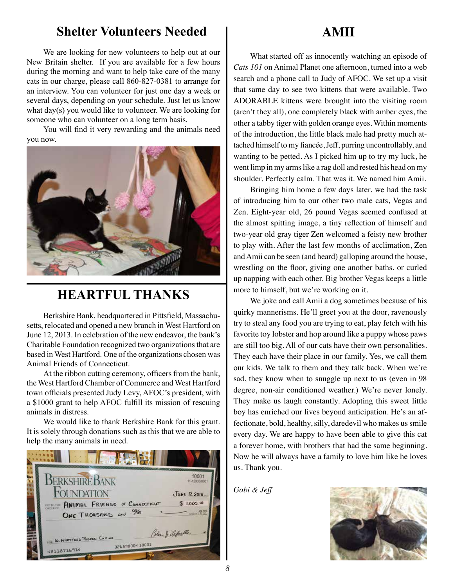## **Shelter Volunteers Needed**

## **AMII**

We are looking for new volunteers to help out at our New Britain shelter. If you are available for a few hours during the morning and want to help take care of the many cats in our charge, please call 860-827-0381 to arrange for an interview. You can volunteer for just one day a week or several days, depending on your schedule. Just let us know what day(s) you would like to volunteer. We are looking for someone who can volunteer on a long term basis.

You will find it very rewarding and the animals need you now.



# **HEARTFUL THANKS**

Berkshire Bank, headquartered in Pittsfield, Massachusetts, relocated and opened a new branch in West Hartford on June 12, 2013. In celebration of the new endeavor, the bank's Charitable Foundation recognized two organizations that are based in West Hartford. One of the organizations chosen was Animal Friends of Connecticut.

At the ribbon cutting ceremony, officers from the bank, the West Hartford Chamber of Commerce and West Hartford town officials presented Judy Levy, AFOC's president, with a \$1000 grant to help AFOC fulfill its mission of rescuing animals in distress.

We would like to thank Berkshire Bank for this grant. It is solely through donations such as this that we are able to help the many animals in need.



What started off as innocently watching an episode of *Cats 101* on Animal Planet one afternoon, turned into a web search and a phone call to Judy of AFOC. We set up a visit that same day to see two kittens that were available. Two ADORABLE kittens were brought into the visiting room (aren't they all), one completely black with amber eyes, the other a tabby tiger with golden orange eyes. Within moments of the introduction, the little black male had pretty much attached himself to my fiancée, Jeff, purring uncontrollably, and wanting to be petted. As I picked him up to try my luck, he went limp in my arms like a rag doll and rested his head on my shoulder. Perfectly calm. That was it. We named him Amii.

Bringing him home a few days later, we had the task of introducing him to our other two male cats, Vegas and Zen. Eight-year old, 26 pound Vegas seemed confused at the almost spitting image, a tiny reflection of himself and two-year old gray tiger Zen welcomed a feisty new brother to play with. After the last few months of acclimation, Zen and Amii can be seen (and heard) galloping around the house, wrestling on the floor, giving one another baths, or curled up napping with each other. Big brother Vegas keeps a little more to himself, but we're working on it.

We joke and call Amii a dog sometimes because of his quirky mannerisms. He'll greet you at the door, ravenously try to steal any food you are trying to eat, play fetch with his favorite toy lobster and hop around like a puppy whose paws are still too big. All of our cats have their own personalities. They each have their place in our family. Yes, we call them our kids. We talk to them and they talk back. When we're sad, they know when to snuggle up next to us (even in 98 degree, non-air conditioned weather.) We're never lonely. They make us laugh constantly. Adopting this sweet little boy has enriched our lives beyond anticipation. He's an affectionate, bold, healthy, silly, daredevil who makes us smile every day. We are happy to have been able to give this cat a forever home, with brothers that had the same beginning. Now he will always have a family to love him like he loves us. Thank you.

*Gabi & Jeff*

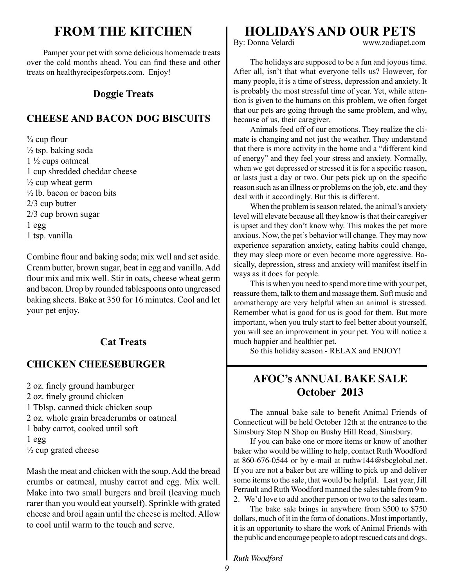# **FROM THE KITCHEN**

Pamper your pet with some delicious homemade treats over the cold months ahead. You can find these and other treats on healthyrecipesforpets.com. Enjoy!

#### **Doggie Treats**

#### **CHEESE AND BACON DOG BISCUITS**

 $\frac{3}{4}$  cup flour  $\frac{1}{2}$  tsp. baking soda 1 ½ cups oatmeal 1 cup shredded cheddar cheese  $\frac{1}{2}$  cup wheat germ  $\frac{1}{2}$  lb, bacon or bacon bits 2/3 cup butter 2/3 cup brown sugar 1 egg 1 tsp. vanilla

Combine flour and baking soda; mix well and set aside. Cream butter, brown sugar, beat in egg and vanilla. Add flour mix and mix well. Stir in oats, cheese wheat germ and bacon. Drop by rounded tablespoons onto ungreased baking sheets. Bake at 350 for 16 minutes. Cool and let your pet enjoy.

#### **Cat Treats**

#### **CHICKEN CHEESEBURGER**

2 oz. finely ground hamburger 2 oz. finely ground chicken 1 Tblsp. canned thick chicken soup 2 oz. whole grain breadcrumbs or oatmeal 1 baby carrot, cooked until soft  $1$  egg  $\frac{1}{2}$  cup grated cheese

Mash the meat and chicken with the soup. Add the bread crumbs or oatmeal, mushy carrot and egg. Mix well. Make into two small burgers and broil (leaving much rarer than you would eat yourself). Sprinkle with grated cheese and broil again until the cheese is melted. Allow to cool until warm to the touch and serve.

# **HOLIDAYS AND OUR PETS**<br>By: Donna Velardi<br>WWW.Zodiapet.com

www.zodiapet.com

The holidays are supposed to be a fun and joyous time. After all, isn't that what everyone tells us? However, for many people, it is a time of stress, depression and anxiety. It is probably the most stressful time of year. Yet, while attention is given to the humans on this problem, we often forget that our pets are going through the same problem, and why, because of us, their caregiver.

Animals feed off of our emotions. They realize the climate is changing and not just the weather. They understand that there is more activity in the home and a "different kind of energy" and they feel your stress and anxiety. Normally, when we get depressed or stressed it is for a specific reason, or lasts just a day or two. Our pets pick up on the specific reason such as an illness or problems on the job, etc. and they deal with it accordingly. But this is different.

When the problem is season related, the animal's anxiety level will elevate because all they know is that their caregiver is upset and they don't know why. This makes the pet more anxious. Now, the pet's behavior will change. They may now experience separation anxiety, eating habits could change, they may sleep more or even become more aggressive. Basically, depression, stress and anxiety will manifest itself in ways as it does for people.

This is when you need to spend more time with your pet, reassure them, talk to them and massage them. Soft music and aromatherapy are very helpful when an animal is stressed. Remember what is good for us is good for them. But more important, when you truly start to feel better about yourself, you will see an improvement in your pet. You will notice a much happier and healthier pet.

So this holiday season - RELAX and ENJOY!

### **AFOC's ANNUAL BAKE SALE October 2013**

The annual bake sale to benefit Animal Friends of Connecticut will be held October 12th at the entrance to the Simsbury Stop N Shop on Bushy Hill Road, Simsbury.

If you can bake one or more items or know of another baker who would be willing to help, contact Ruth Woodford at 860-676-0544 or by e-mail at ruthw144@sbcglobal.net. If you are not a baker but are willing to pick up and deliver some items to the sale, that would be helpful. Last year, Jill Perrault and Ruth Woodford manned the sales table from 9 to 2. We'd love to add another person or two to the sales team.

The bake sale brings in anywhere from \$500 to \$750 dollars, much of it in the form of donations. Most importantly, it is an opportunity to share the work of Animal Friends with the public and encourage people to adopt rescued cats and dogs.

*Ruth Woodford*